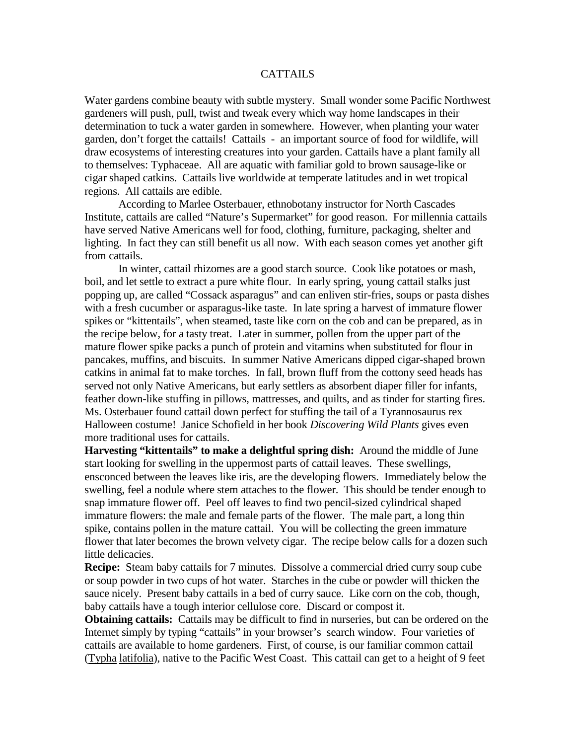## **CATTAILS**

Water gardens combine beauty with subtle mystery. Small wonder some Pacific Northwest gardeners will push, pull, twist and tweak every which way home landscapes in their determination to tuck a water garden in somewhere. However, when planting your water garden, don't forget the cattails! Cattails - an important source of food for wildlife, will draw ecosystems of interesting creatures into your garden. Cattails have a plant family all to themselves: Typhaceae. All are aquatic with familiar gold to brown sausage-like or cigar shaped catkins. Cattails live worldwide at temperate latitudes and in wet tropical regions. All cattails are edible.

According to Marlee Osterbauer, ethnobotany instructor for North Cascades Institute, cattails are called "Nature's Supermarket" for good reason. For millennia cattails have served Native Americans well for food, clothing, furniture, packaging, shelter and lighting. In fact they can still benefit us all now. With each season comes yet another gift from cattails.

In winter, cattail rhizomes are a good starch source. Cook like potatoes or mash, boil, and let settle to extract a pure white flour. In early spring, young cattail stalks just popping up, are called "Cossack asparagus" and can enliven stir-fries, soups or pasta dishes with a fresh cucumber or asparagus-like taste. In late spring a harvest of immature flower spikes or "kittentails", when steamed, taste like corn on the cob and can be prepared, as in the recipe below, for a tasty treat. Later in summer, pollen from the upper part of the mature flower spike packs a punch of protein and vitamins when substituted for flour in pancakes, muffins, and biscuits. In summer Native Americans dipped cigar-shaped brown catkins in animal fat to make torches. In fall, brown fluff from the cottony seed heads has served not only Native Americans, but early settlers as absorbent diaper filler for infants, feather down-like stuffing in pillows, mattresses, and quilts, and as tinder for starting fires. Ms. Osterbauer found cattail down perfect for stuffing the tail of a Tyrannosaurus rex Halloween costume! Janice Schofield in her book *Discovering Wild Plants* gives even more traditional uses for cattails.

**Harvesting "kittentails" to make a delightful spring dish:** Around the middle of June start looking for swelling in the uppermost parts of cattail leaves. These swellings, ensconced between the leaves like iris, are the developing flowers. Immediately below the swelling, feel a nodule where stem attaches to the flower. This should be tender enough to snap immature flower off. Peel off leaves to find two pencil-sized cylindrical shaped immature flowers: the male and female parts of the flower. The male part, a long thin spike, contains pollen in the mature cattail. You will be collecting the green immature flower that later becomes the brown velvety cigar. The recipe below calls for a dozen such little delicacies.

**Recipe:** Steam baby cattails for 7 minutes. Dissolve a commercial dried curry soup cube or soup powder in two cups of hot water. Starches in the cube or powder will thicken the sauce nicely. Present baby cattails in a bed of curry sauce. Like corn on the cob, though, baby cattails have a tough interior cellulose core. Discard or compost it.

**Obtaining cattails:** Cattails may be difficult to find in nurseries, but can be ordered on the Internet simply by typing "cattails" in your browser's search window. Four varieties of cattails are available to home gardeners. First, of course, is our familiar common cattail (Typha latifolia), native to the Pacific West Coast. This cattail can get to a height of 9 feet